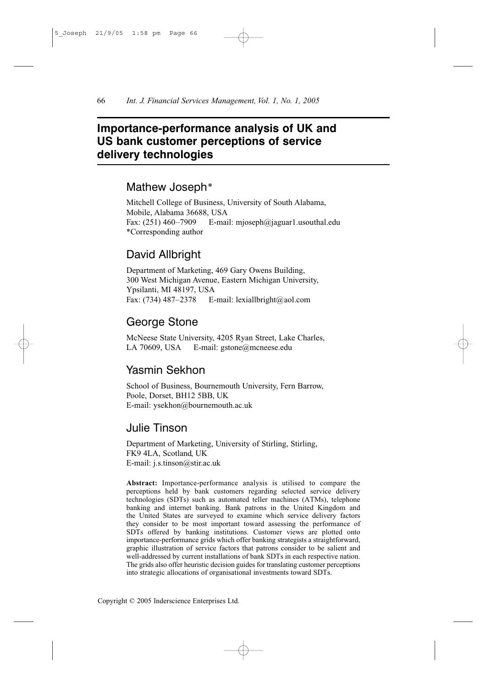66 *Int. J. Financial Services Management, Vol. 1, No. 1, 2005*

# **Importance-performance analysis of UK and US bank customer perceptions of service delivery technologies**

## Mathew Joseph\*

Mitchell College of Business, University of South Alabama, Mobile, Alabama 36688, USA Fax: (251) 460–7909 E-mail: mjoseph@jaguar1.usouthal.edu \*Corresponding author

# David Allbright

Department of Marketing, 469 Gary Owens Building, 300 West Michigan Avenue, Eastern Michigan University, Ypsilanti, MI 48197, USA Fax: (734) 487–2378 E-mail: lexiallbright@aol.com

# George Stone

McNeese State University, 4205 Ryan Street, Lake Charles, LA 70609, USA E-mail: gstone@mcneese.edu

## Yasmin Sekhon

School of Business, Bournemouth University, Fern Barrow, Poole, Dorset, BH12 5BB, UK E-mail: ysekhon@bournemouth.ac.uk

## Julie Tinson

Department of Marketing, University of Stirling, Stirling, FK9 4LA, Scotland, UK E-mail: j.s.tinson@stir.ac.uk

**Abstract:** Importance-performance analysis is utilised to compare the perceptions held by bank customers regarding selected service delivery technologies (SDTs) such as automated teller machines (ATMs), telephone banking and internet banking. Bank patrons in the United Kingdom and the United States are surveyed to examine which service delivery factors they consider to be most important toward assessing the performance of SDTs offered by banking institutions. Customer views are plotted onto importance-performance grids which offer banking strategists a straightforward, graphic illustration of service factors that patrons consider to be salient and well-addressed by current installations of bank SDTs in each respective nation. The grids also offer heuristic decision guides for translating customer perceptions into strategic allocations of organisational investments toward SDTs.

Copyright © 2005 Inderscience Enterprises Ltd.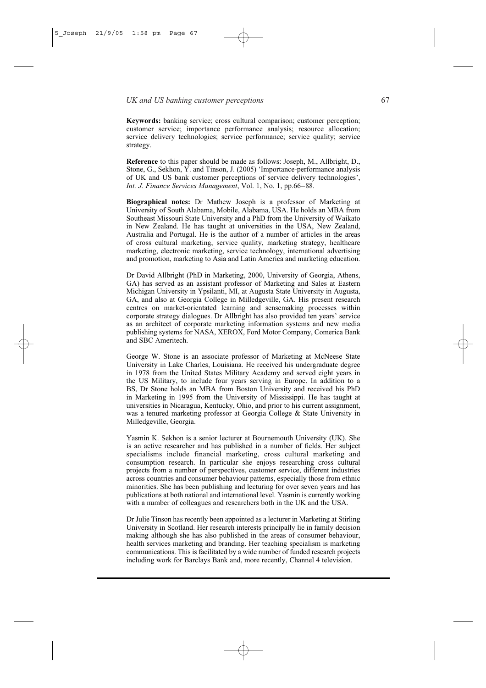**Keywords:** banking service; cross cultural comparison; customer perception; customer service; importance performance analysis; resource allocation; service delivery technologies; service performance; service quality; service strategy.

**Reference** to this paper should be made as follows: Joseph, M., Allbright, D., Stone, G., Sekhon, Y. and Tinson, J. (2005) 'Importance-performance analysis of UK and US bank customer perceptions of service delivery technologies', *Int. J. Finance Services Management*, Vol. 1, No. 1, pp.66–88.

**Biographical notes:** Dr Mathew Joseph is a professor of Marketing at University of South Alabama, Mobile, Alabama, USA. He holds an MBA from Southeast Missouri State University and a PhD from the University of Waikato in New Zealand. He has taught at universities in the USA, New Zealand, Australia and Portugal. He is the author of a number of articles in the areas of cross cultural marketing, service quality, marketing strategy, healthcare marketing, electronic marketing, service technology, international advertising and promotion, marketing to Asia and Latin America and marketing education.

Dr David Allbright (PhD in Marketing, 2000, University of Georgia, Athens, GA) has served as an assistant professor of Marketing and Sales at Eastern Michigan University in Ypsilanti, MI, at Augusta State University in Augusta, GA, and also at Georgia College in Milledgeville, GA. His present research centres on market-orientated learning and sensemaking processes within corporate strategy dialogues. Dr Allbright has also provided ten years' service as an architect of corporate marketing information systems and new media publishing systems for NASA, XEROX, Ford Motor Company, Comerica Bank and SBC Ameritech.

George W. Stone is an associate professor of Marketing at McNeese State University in Lake Charles, Louisiana. He received his undergraduate degree in 1978 from the United States Military Academy and served eight years in the US Military, to include four years serving in Europe. In addition to a BS, Dr Stone holds an MBA from Boston University and received his PhD in Marketing in 1995 from the University of Mississippi. He has taught at universities in Nicaragua, Kentucky, Ohio, and prior to his current assignment, was a tenured marketing professor at Georgia College & State University in Milledgeville, Georgia.

Yasmin K. Sekhon is a senior lecturer at Bournemouth University (UK). She is an active researcher and has published in a number of fields. Her subject specialisms include financial marketing, cross cultural marketing and consumption research. In particular she enjoys researching cross cultural projects from a number of perspectives, customer service, different industries across countries and consumer behaviour patterns, especially those from ethnic minorities. She has been publishing and lecturing for over seven years and has publications at both national and international level. Yasmin is currently working with a number of colleagues and researchers both in the UK and the USA.

Dr Julie Tinson has recently been appointed as a lecturer in Marketing at Stirling University in Scotland. Her research interests principally lie in family decision making although she has also published in the areas of consumer behaviour, health services marketing and branding. Her teaching specialism is marketing communications. This is facilitated by a wide number of funded research projects including work for Barclays Bank and, more recently, Channel 4 television.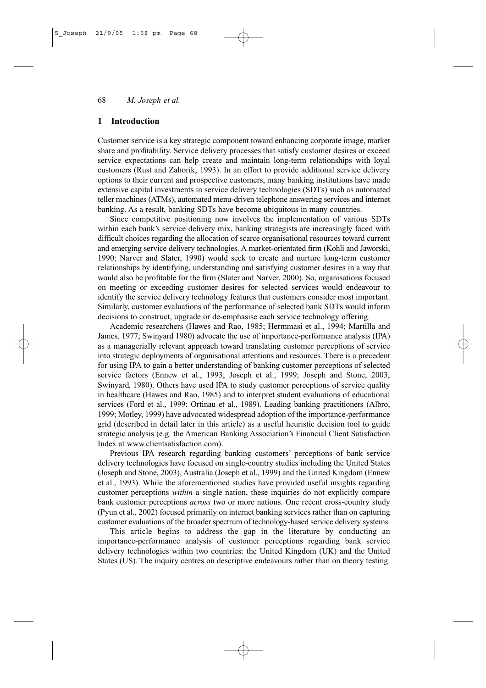#### **1 Introduction**

Customer service is a key strategic component toward enhancing corporate image, market share and profitability. Service delivery processes that satisfy customer desires or exceed service expectations can help create and maintain long-term relationships with loyal customers (Rust and Zahorik, 1993). In an effort to provide additional service delivery options to their current and prospective customers, many banking institutions have made extensive capital investments in service delivery technologies (SDTs) such as automated teller machines (ATMs), automated menu-driven telephone answering services and internet banking. As a result, banking SDTs have become ubiquitous in many countries.

Since competitive positioning now involves the implementation of various SDTs within each bank's service delivery mix, banking strategists are increasingly faced with difficult choices regarding the allocation of scarce organisational resources toward current and emerging service delivery technologies. A market-orientated firm (Kohli and Jaworski, 1990; Narver and Slater, 1990) would seek to create and nurture long-term customer relationships by identifying, understanding and satisfying customer desires in a way that would also be profitable for the firm (Slater and Narver, 2000). So, organisations focused on meeting or exceeding customer desires for selected services would endeavour to identify the service delivery technology features that customers consider most important. Similarly, customer evaluations of the performance of selected bank SDTs would inform decisions to construct, upgrade or de-emphasise each service technology offering.

Academic researchers (Hawes and Rao, 1985; Hermmasi et al., 1994; Martilla and James, 1977; Swinyard 1980) advocate the use of importance-performance analysis (IPA) as a managerially relevant approach toward translating customer perceptions of service into strategic deployments of organisational attentions and resources. There is a precedent for using IPA to gain a better understanding of banking customer perceptions of selected service factors (Ennew et al., 1993; Joseph et al., 1999; Joseph and Stone, 2003; Swinyard, 1980). Others have used IPA to study customer perceptions of service quality in healthcare (Hawes and Rao, 1985) and to interpret student evaluations of educational services (Ford et al., 1999; Ortinau et al., 1989). Leading banking practitioners (Albro, 1999; Motley, 1999) have advocated widespread adoption of the importance-performance grid (described in detail later in this article) as a useful heuristic decision tool to guide strategic analysis (e.g. the American Banking Association's Financial Client Satisfaction Index at www.clientsatisfaction.com).

Previous IPA research regarding banking customers' perceptions of bank service delivery technologies have focused on single-country studies including the United States (Joseph and Stone, 2003), Australia (Joseph et al., 1999) and the United Kingdom (Ennew et al., 1993). While the aforementioned studies have provided useful insights regarding customer perceptions *within* a single nation, these inquiries do not explicitly compare bank customer perceptions *across* two or more nations. One recent cross-country study (Pyun et al., 2002) focused primarily on internet banking services rather than on capturing customer evaluations of the broader spectrum of technology-based service delivery systems.

This article begins to address the gap in the literature by conducting an importance-performance analysis of customer perceptions regarding bank service delivery technologies within two countries: the United Kingdom (UK) and the United States (US). The inquiry centres on descriptive endeavours rather than on theory testing.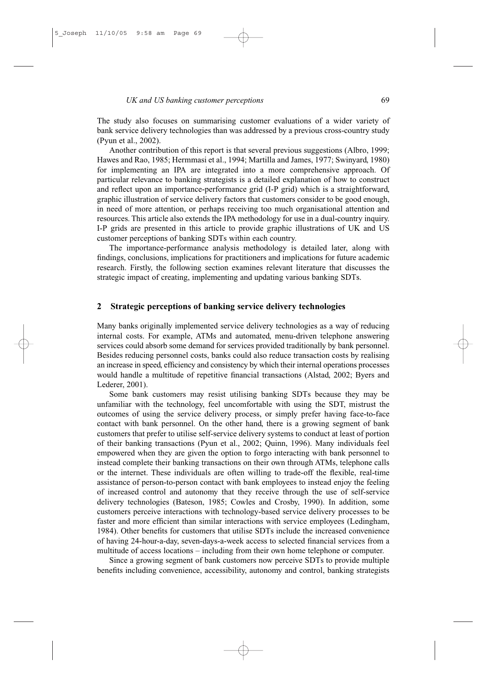The study also focuses on summarising customer evaluations of a wider variety of bank service delivery technologies than was addressed by a previous cross-country study (Pyun et al., 2002).

Another contribution of this report is that several previous suggestions (Albro, 1999; Hawes and Rao, 1985; Hermmasi et al., 1994; Martilla and James, 1977; Swinyard, 1980) for implementing an IPA are integrated into a more comprehensive approach. Of particular relevance to banking strategists is a detailed explanation of how to construct and reflect upon an importance-performance grid (I-P grid) which is a straightforward, graphic illustration of service delivery factors that customers consider to be good enough, in need of more attention, or perhaps receiving too much organisational attention and resources. This article also extends the IPA methodology for use in a dual-country inquiry. I-P grids are presented in this article to provide graphic illustrations of UK and US customer perceptions of banking SDTs within each country.

The importance-performance analysis methodology is detailed later, along with findings, conclusions, implications for practitioners and implications for future academic research. Firstly, the following section examines relevant literature that discusses the strategic impact of creating, implementing and updating various banking SDTs.

### **2 Strategic perceptions of banking service delivery technologies**

Many banks originally implemented service delivery technologies as a way of reducing internal costs. For example, ATMs and automated, menu-driven telephone answering services could absorb some demand for services provided traditionally by bank personnel. Besides reducing personnel costs, banks could also reduce transaction costs by realising an increase in speed, efficiency and consistency by which their internal operations processes would handle a multitude of repetitive financial transactions (Alstad, 2002; Byers and Lederer, 2001).

Some bank customers may resist utilising banking SDTs because they may be unfamiliar with the technology, feel uncomfortable with using the SDT, mistrust the outcomes of using the service delivery process, or simply prefer having face-to-face contact with bank personnel. On the other hand, there is a growing segment of bank customers that prefer to utilise self-service delivery systems to conduct at least of portion of their banking transactions (Pyun et al., 2002; Quinn, 1996). Many individuals feel empowered when they are given the option to forgo interacting with bank personnel to instead complete their banking transactions on their own through ATMs, telephone calls or the internet. These individuals are often willing to trade-off the flexible, real-time assistance of person-to-person contact with bank employees to instead enjoy the feeling of increased control and autonomy that they receive through the use of self-service delivery technologies (Bateson, 1985; Cowles and Crosby, 1990). In addition, some customers perceive interactions with technology-based service delivery processes to be faster and more efficient than similar interactions with service employees (Ledingham, 1984). Other benefits for customers that utilise SDTs include the increased convenience of having 24-hour-a-day, seven-days-a-week access to selected financial services from a multitude of access locations – including from their own home telephone or computer.

Since a growing segment of bank customers now perceive SDTs to provide multiple benefits including convenience, accessibility, autonomy and control, banking strategists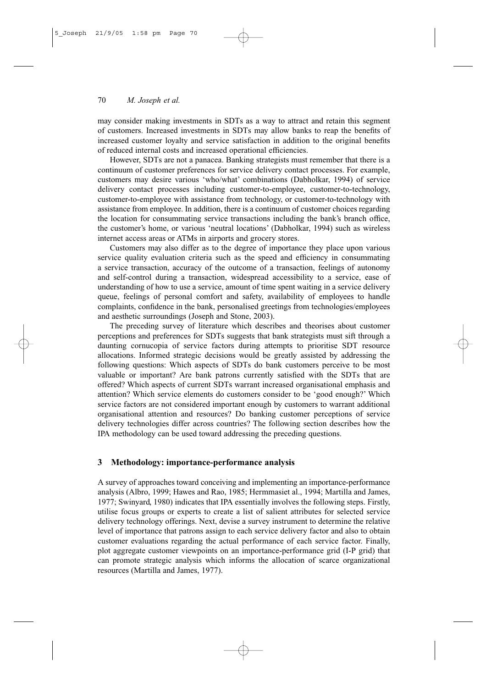may consider making investments in SDTs as a way to attract and retain this segment of customers. Increased investments in SDTs may allow banks to reap the benefits of increased customer loyalty and service satisfaction in addition to the original benefits of reduced internal costs and increased operational efficiencies.

However, SDTs are not a panacea. Banking strategists must remember that there is a continuum of customer preferences for service delivery contact processes. For example, customers may desire various 'who/what' combinations (Dabholkar, 1994) of service delivery contact processes including customer-to-employee, customer-to-technology, customer-to-employee with assistance from technology, or customer-to-technology with assistance from employee. In addition, there is a continuum of customer choices regarding the location for consummating service transactions including the bank's branch office, the customer's home, or various 'neutral locations' (Dabholkar, 1994) such as wireless internet access areas or ATMs in airports and grocery stores.

Customers may also differ as to the degree of importance they place upon various service quality evaluation criteria such as the speed and efficiency in consummating a service transaction, accuracy of the outcome of a transaction, feelings of autonomy and self-control during a transaction, widespread accessibility to a service, ease of understanding of how to use a service, amount of time spent waiting in a service delivery queue, feelings of personal comfort and safety, availability of employees to handle complaints, confidence in the bank, personalised greetings from technologies/employees and aesthetic surroundings (Joseph and Stone, 2003).

The preceding survey of literature which describes and theorises about customer perceptions and preferences for SDTs suggests that bank strategists must sift through a daunting cornucopia of service factors during attempts to prioritise SDT resource allocations. Informed strategic decisions would be greatly assisted by addressing the following questions: Which aspects of SDTs do bank customers perceive to be most valuable or important? Are bank patrons currently satisfied with the SDTs that are offered? Which aspects of current SDTs warrant increased organisational emphasis and attention? Which service elements do customers consider to be 'good enough?' Which service factors are not considered important enough by customers to warrant additional organisational attention and resources? Do banking customer perceptions of service delivery technologies differ across countries? The following section describes how the IPA methodology can be used toward addressing the preceding questions.

### **3 Methodology: importance-performance analysis**

A survey of approaches toward conceiving and implementing an importance-performance analysis (Albro, 1999; Hawes and Rao, 1985; Hermmasiet al., 1994; Martilla and James, 1977; Swinyard, 1980) indicates that IPA essentially involves the following steps. Firstly, utilise focus groups or experts to create a list of salient attributes for selected service delivery technology offerings. Next, devise a survey instrument to determine the relative level of importance that patrons assign to each service delivery factor and also to obtain customer evaluations regarding the actual performance of each service factor. Finally, plot aggregate customer viewpoints on an importance-performance grid (I-P grid) that can promote strategic analysis which informs the allocation of scarce organizational resources (Martilla and James, 1977).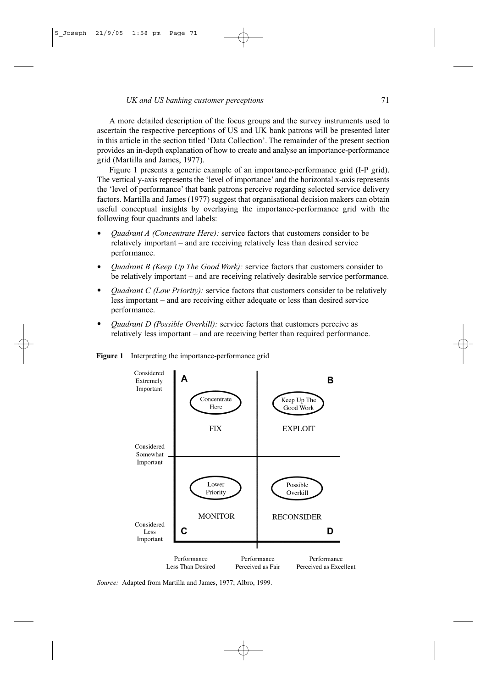A more detailed description of the focus groups and the survey instruments used to ascertain the respective perceptions of US and UK bank patrons will be presented later in this article in the section titled 'Data Collection'. The remainder of the present section provides an in-depth explanation of how to create and analyse an importance-performance grid (Martilla and James, 1977).

Figure 1 presents a generic example of an importance-performance grid (I-P grid). The vertical y-axis represents the 'level of importance' and the horizontal x-axis represents the 'level of performance' that bank patrons perceive regarding selected service delivery factors. Martilla and James (1977) suggest that organisational decision makers can obtain useful conceptual insights by overlaying the importance-performance grid with the following four quadrants and labels:

- *Quadrant A (Concentrate Here):* service factors that customers consider to be relatively important – and are receiving relatively less than desired service performance.
- *Quadrant B (Keep Up The Good Work):* service factors that customers consider to be relatively important – and are receiving relatively desirable service performance.
- *Quadrant C (Low Priority):* service factors that customers consider to be relatively less important – and are receiving either adequate or less than desired service performance.
- *Quadrant D (Possible Overkill):* service factors that customers perceive as relatively less important – and are receiving better than required performance.

#### Figure 1 Interpreting the importance-performance grid



*Source:* Adapted from Martilla and James, 1977; Albro, 1999.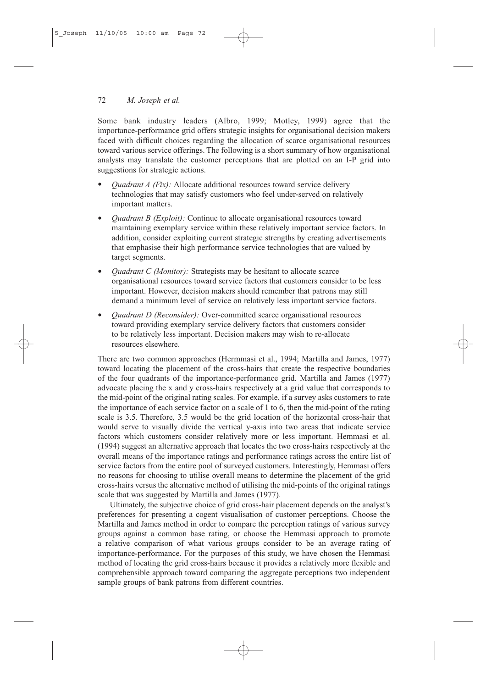Some bank industry leaders (Albro, 1999; Motley, 1999) agree that the importance-performance grid offers strategic insights for organisational decision makers faced with difficult choices regarding the allocation of scarce organisational resources toward various service offerings. The following is a short summary of how organisational analysts may translate the customer perceptions that are plotted on an I-P grid into suggestions for strategic actions.

- *Quadrant A (Fix):* Allocate additional resources toward service delivery technologies that may satisfy customers who feel under-served on relatively important matters.
- *Quadrant B (Exploit):* Continue to allocate organisational resources toward maintaining exemplary service within these relatively important service factors. In addition, consider exploiting current strategic strengths by creating advertisements that emphasise their high performance service technologies that are valued by target segments.
- *Quadrant C (Monitor):* Strategists may be hesitant to allocate scarce organisational resources toward service factors that customers consider to be less important. However, decision makers should remember that patrons may still demand a minimum level of service on relatively less important service factors.
- *Quadrant D (Reconsider):* Over-committed scarce organisational resources toward providing exemplary service delivery factors that customers consider to be relatively less important. Decision makers may wish to re-allocate resources elsewhere.

There are two common approaches (Hermmasi et al., 1994; Martilla and James, 1977) toward locating the placement of the cross-hairs that create the respective boundaries of the four quadrants of the importance-performance grid. Martilla and James (1977) advocate placing the x and y cross-hairs respectively at a grid value that corresponds to the mid-point of the original rating scales. For example, if a survey asks customers to rate the importance of each service factor on a scale of 1 to 6, then the mid-point of the rating scale is 3.5. Therefore, 3.5 would be the grid location of the horizontal cross-hair that would serve to visually divide the vertical y-axis into two areas that indicate service factors which customers consider relatively more or less important. Hemmasi et al. (1994) suggest an alternative approach that locates the two cross-hairs respectively at the overall means of the importance ratings and performance ratings across the entire list of service factors from the entire pool of surveyed customers. Interestingly, Hemmasi offers no reasons for choosing to utilise overall means to determine the placement of the grid cross-hairs versus the alternative method of utilising the mid-points of the original ratings scale that was suggested by Martilla and James (1977).

Ultimately, the subjective choice of grid cross-hair placement depends on the analyst's preferences for presenting a cogent visualisation of customer perceptions. Choose the Martilla and James method in order to compare the perception ratings of various survey groups against a common base rating, or choose the Hemmasi approach to promote a relative comparison of what various groups consider to be an average rating of importance-performance. For the purposes of this study, we have chosen the Hemmasi method of locating the grid cross-hairs because it provides a relatively more flexible and comprehensible approach toward comparing the aggregate perceptions two independent sample groups of bank patrons from different countries.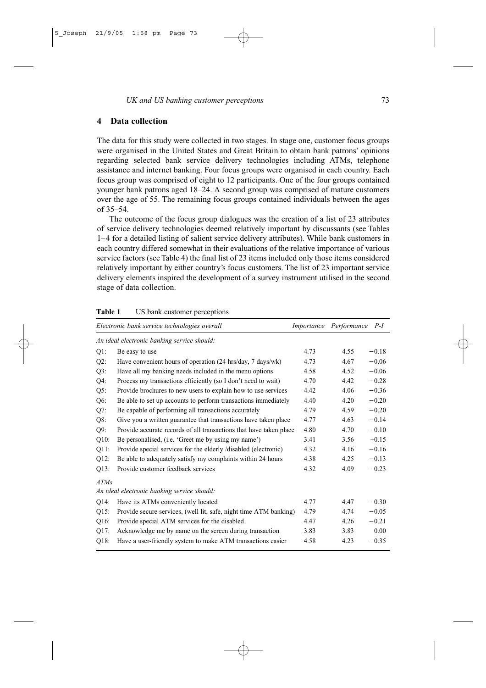### **4 Data collection**

The data for this study were collected in two stages. In stage one, customer focus groups were organised in the United States and Great Britain to obtain bank patrons' opinions regarding selected bank service delivery technologies including ATMs, telephone assistance and internet banking. Four focus groups were organised in each country. Each focus group was comprised of eight to 12 participants. One of the four groups contained younger bank patrons aged 18–24. A second group was comprised of mature customers over the age of 55. The remaining focus groups contained individuals between the ages of 35–54.

The outcome of the focus group dialogues was the creation of a list of 23 attributes of service delivery technologies deemed relatively important by discussants (see Tables 1–4 for a detailed listing of salient service delivery attributes). While bank customers in each country differed somewhat in their evaluations of the relative importance of various service factors (see Table 4) the final list of 23 items included only those items considered relatively important by either country's focus customers. The list of 23 important service delivery elements inspired the development of a survey instrument utilised in the second stage of data collection.

| Electronic bank service technologies overall |                                                                    | Importance | Performance P-I |         |
|----------------------------------------------|--------------------------------------------------------------------|------------|-----------------|---------|
| An ideal electronic banking service should:  |                                                                    |            |                 |         |
| $Q1$ :                                       | Be easy to use                                                     | 4.73       | 4.55            | $-0.18$ |
| $Q2$ :                                       | Have convenient hours of operation (24 hrs/day, 7 days/wk)         | 4.73       | 4.67            | $-0.06$ |
| Q3:                                          | Have all my banking needs included in the menu options             | 4.58       | 4.52            | $-0.06$ |
| $Q4$ :                                       | Process my transactions efficiently (so I don't need to wait)      | 4.70       | 4.42            | $-0.28$ |
| Q5:                                          | Provide brochures to new users to explain how to use services      | 4.42       | 4.06            | $-0.36$ |
| Q6:                                          | Be able to set up accounts to perform transactions immediately     | 4.40       | 4.20            | $-0.20$ |
| Q7:                                          | Be capable of performing all transactions accurately               | 4.79       | 4.59            | $-0.20$ |
| Q8:                                          | Give you a written guarantee that transactions have taken place    | 4.77       | 4.63            | $-0.14$ |
| Q9:                                          | Provide accurate records of all transactions that have taken place | 4.80       | 4.70            | $-0.10$ |
| Q10:                                         | Be personalised, (i.e. 'Greet me by using my name')                | 3.41       | 3.56            | $+0.15$ |
| $Q11$ :                                      | Provide special services for the elderly /disabled (electronic)    | 4.32       | 4.16            | $-0.16$ |
| Q12:                                         | Be able to adequately satisfy my complaints within 24 hours        | 4.38       | 4.25            | $-0.13$ |
| Q13:                                         | Provide customer feedback services                                 | 4.32       | 4.09            | $-0.23$ |
| ATMs                                         |                                                                    |            |                 |         |
|                                              | An ideal electronic banking service should:                        |            |                 |         |
| Q14:                                         | Have its ATMs conveniently located                                 | 4.77       | 4.47            | $-0.30$ |
| Q15:                                         | Provide secure services, (well lit, safe, night time ATM banking)  | 4.79       | 4.74            | $-0.05$ |
| Q16:                                         | Provide special ATM services for the disabled                      | 4.47       | 4.26            | $-0.21$ |
| Q17:                                         | Acknowledge me by name on the screen during transaction            | 3.83       | 3.83            | 0.00    |
| Q18:                                         | Have a user-friendly system to make ATM transactions easier        | 4.58       | 4.23            | $-0.35$ |

| Table 1<br>US bank customer perceptions |  |
|-----------------------------------------|--|
|-----------------------------------------|--|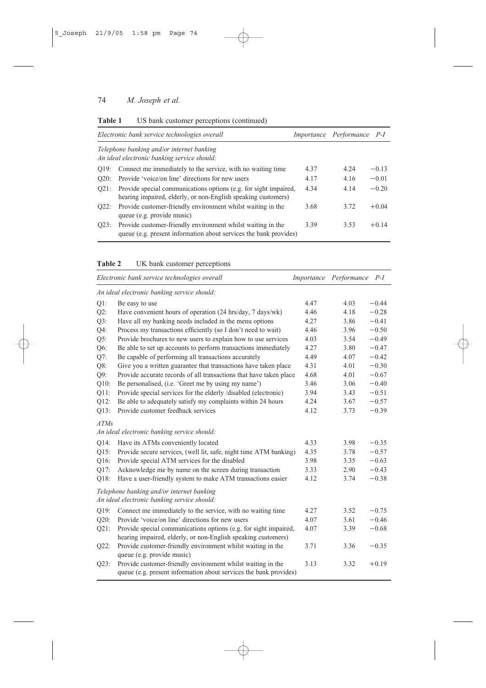### **Table 1** US bank customer perceptions (continued)

| Electronic bank service technologies overall |                                                                                                                                   |      | Importance Performance P-I |         |
|----------------------------------------------|-----------------------------------------------------------------------------------------------------------------------------------|------|----------------------------|---------|
|                                              | Telephone banking and/or internet banking<br>An ideal electronic banking service should:                                          |      |                            |         |
| O19:                                         | Connect me immediately to the service, with no waiting time                                                                       | 4.37 | 4.24                       | $-0.13$ |
| O20:                                         | Provide 'voice/on line' directions for new users                                                                                  | 4.17 | 4.16                       | $-0.01$ |
| O21:                                         | Provide special communications options (e.g. for sight impaired,<br>hearing impaired, elderly, or non-English speaking customers) | 4.34 | 4.14                       | $-0.20$ |
| O22:                                         | Provide customer-friendly environment whilst waiting in the<br>queue (e.g. provide music)                                         | 3.68 | 3.72                       | $+0.04$ |
| O23:                                         | Provide customer-friendly environment whilst waiting in the<br>queue (e.g. present information about services the bank provides)  | 3.39 | 3.53                       | $+0.14$ |

| Table 2 |  | UK bank customer perceptions |  |
|---------|--|------------------------------|--|

|         | Electronic bank service technologies overall                                                                                      |      | Importance Performance P-I |         |
|---------|-----------------------------------------------------------------------------------------------------------------------------------|------|----------------------------|---------|
|         | An ideal electronic banking service should:                                                                                       |      |                            |         |
| $Q1$ :  | Be easy to use                                                                                                                    | 4.47 | 4.03                       | $-0.44$ |
| $Q2$ :  | Have convenient hours of operation (24 hrs/day, 7 days/wk)                                                                        | 4.46 | 4.18                       | $-0.28$ |
| Q3:     | Have all my banking needs included in the menu options                                                                            | 4.27 | 3.86                       | $-0.41$ |
| $Q4$ :  | Process my transactions efficiently (so I don't need to wait)                                                                     | 4.46 | 3.96                       | $-0.50$ |
| $Q5$ :  | Provide brochures to new users to explain how to use services                                                                     | 4.03 | 3.54                       | $-0.49$ |
| Q6:     | Be able to set up accounts to perform transactions immediately                                                                    | 4.27 | 3.80                       | $-0.47$ |
| Q7:     | Be capable of performing all transactions accurately                                                                              | 4.49 | 4.07                       | $-0.42$ |
| Q8:     | Give you a written guarantee that transactions have taken place                                                                   | 4.31 | 4.01                       | $-0.30$ |
| Q9:     | Provide accurate records of all transactions that have taken place                                                                | 4.68 | 4.01                       | $-0.67$ |
| $Q10$ : | Be personalised, (i.e. 'Greet me by using my name')                                                                               | 3.46 | 3.06                       | $-0.40$ |
| $Q11$ : | Provide special services for the elderly /disabled (electronic)                                                                   | 3.94 | 3.43                       | $-0.51$ |
| Q12:    | Be able to adequately satisfy my complaints within 24 hours                                                                       | 4.24 | 3.67                       | $-0.57$ |
| Q13:    | Provide customer feedback services                                                                                                | 4.12 | 3.73                       | $-0.39$ |
| ATMs    |                                                                                                                                   |      |                            |         |
|         | An ideal electronic banking service should:                                                                                       |      |                            |         |
| Q14:    | Have its ATMs conveniently located                                                                                                | 4.33 | 3.98                       | $-0.35$ |
| O15:    | Provide secure services, (well lit, safe, night time ATM banking)                                                                 | 4.35 | 3.78                       | $-0.57$ |
| Q16:    | Provide special ATM services for the disabled                                                                                     | 3.98 | 3.35                       | $-0.63$ |
| Q17:    | Acknowledge me by name on the screen during transaction                                                                           | 3.33 | 2.90                       | $-0.43$ |
| Q18:    | Have a user-friendly system to make ATM transactions easier                                                                       | 4.12 | 3.74                       | $-0.38$ |
|         | Telephone banking and/or internet banking<br>An ideal electronic banking service should:                                          |      |                            |         |
| Q19:    | Connect me immediately to the service, with no waiting time                                                                       | 4.27 | 3.52                       | $-0.75$ |
| Q20:    | Provide 'voice/on line' directions for new users                                                                                  | 4.07 | 3.61                       | $-0.46$ |
| Q21:    | Provide special communications options (e.g. for sight impaired,<br>hearing impaired, elderly, or non-English speaking customers) | 4.07 | 3.39                       | $-0.68$ |
| $Q22$ : | Provide customer-friendly environment whilst waiting in the<br>queue (e.g. provide music)                                         | 3.71 | 3.36                       | $-0.35$ |
| Q23:    | Provide customer-friendly environment whilst waiting in the<br>queue (e.g. present information about services the bank provides)  | 3.13 | 3.32                       | $+0.19$ |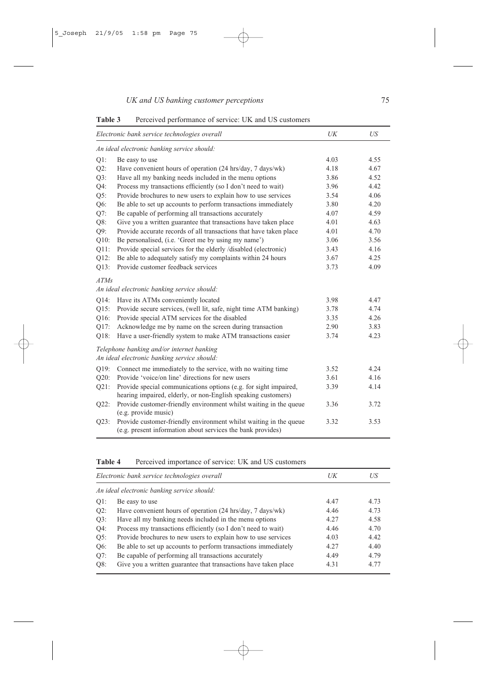### **Table 3** Perceived performance of service: UK and US customers

|         | Electronic bank service technologies overall                                                                                      | UK   | US   |
|---------|-----------------------------------------------------------------------------------------------------------------------------------|------|------|
|         | An ideal electronic banking service should:                                                                                       |      |      |
| $Q1$ :  | Be easy to use                                                                                                                    | 4.03 | 4.55 |
| $Q2$ :  | Have convenient hours of operation (24 hrs/day, 7 days/wk)                                                                        | 4.18 | 4.67 |
| Q3:     | Have all my banking needs included in the menu options                                                                            | 3.86 | 4.52 |
| $Q4$ :  | Process my transactions efficiently (so I don't need to wait)                                                                     | 3.96 | 4.42 |
| Q5:     | Provide brochures to new users to explain how to use services                                                                     | 3.54 | 4.06 |
| Q6:     | Be able to set up accounts to perform transactions immediately                                                                    | 3.80 | 4.20 |
| $Q7$ :  | Be capable of performing all transactions accurately                                                                              | 4.07 | 4.59 |
| Q8:     | Give you a written guarantee that transactions have taken place                                                                   | 4.01 | 4.63 |
| Q9:     | Provide accurate records of all transactions that have taken place                                                                | 4.01 | 4.70 |
| $Q10$ : | Be personalised, (i.e. 'Greet me by using my name')                                                                               | 3.06 | 3.56 |
| $Q11$ : | Provide special services for the elderly /disabled (electronic)                                                                   | 3.43 | 4.16 |
| Q12:    | Be able to adequately satisfy my complaints within 24 hours                                                                       | 3.67 | 4.25 |
| $Q13$ : | Provide customer feedback services                                                                                                | 3.73 | 4.09 |
| ATMs    |                                                                                                                                   |      |      |
|         | An ideal electronic banking service should:                                                                                       |      |      |
| Q14:    | Have its ATMs conveniently located                                                                                                | 3.98 | 4.47 |
| Q15:    | Provide secure services, (well lit, safe, night time ATM banking)                                                                 | 3.78 | 4.74 |
| Q16:    | Provide special ATM services for the disabled                                                                                     | 3.35 | 4.26 |
| Q17:    | Acknowledge me by name on the screen during transaction                                                                           | 2.90 | 3.83 |
| Q18:    | Have a user-friendly system to make ATM transactions easier                                                                       | 3.74 | 4.23 |
|         | Telephone banking and/or internet banking<br>An ideal electronic banking service should:                                          |      |      |
| Q19:    | Connect me immediately to the service, with no waiting time                                                                       | 3.52 | 4.24 |
| Q20:    | Provide 'voice/on line' directions for new users                                                                                  | 3.61 | 4.16 |
| $Q21$ : | Provide special communications options (e.g. for sight impaired,<br>hearing impaired, elderly, or non-English speaking customers) | 3.39 | 4.14 |
| $Q22$ : | Provide customer-friendly environment whilst waiting in the queue<br>(e.g. provide music)                                         | 3.36 | 3.72 |
| Q23:    | Provide customer-friendly environment whilst waiting in the queue<br>(e.g. present information about services the bank provides)  | 3.32 | 3.53 |

### **Table 4** Perceived importance of service: UK and US customers

|        | Electronic bank service technologies overall                    | $U\!K$ | US   |
|--------|-----------------------------------------------------------------|--------|------|
|        | An ideal electronic banking service should:                     |        |      |
| $O1$ : | Be easy to use                                                  | 4.47   | 4.73 |
| $Q2$ : | Have convenient hours of operation (24 hrs/day, 7 days/wk)      | 4.46   | 4.73 |
| Q3:    | Have all my banking needs included in the menu options          | 4.27   | 4.58 |
| $Q4$ : | Process my transactions efficiently (so I don't need to wait)   | 4.46   | 4.70 |
| Q5:    | Provide brochures to new users to explain how to use services   | 4.03   | 4.42 |
| Q6:    | Be able to set up accounts to perform transactions immediately  | 4.27   | 4.40 |
| Q7:    | Be capable of performing all transactions accurately            | 4.49   | 4.79 |
| O8:    | Give you a written guarantee that transactions have taken place | 4.31   | 4.77 |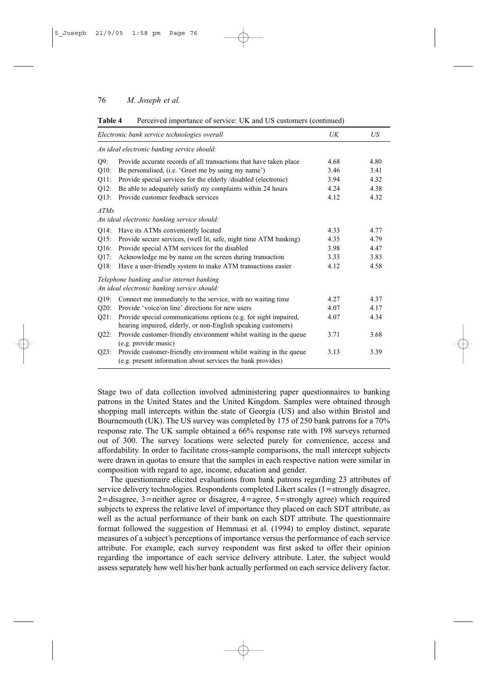| Perceived importance of service: UK and US customers (continued)<br>Table 4 |                                                                                                                                   |      |      |  |
|-----------------------------------------------------------------------------|-----------------------------------------------------------------------------------------------------------------------------------|------|------|--|
|                                                                             | Electronic bank service technologies overall                                                                                      | UK   | US   |  |
|                                                                             | An ideal electronic banking service should:                                                                                       |      |      |  |
| Q9:                                                                         | Provide accurate records of all transactions that have taken place                                                                | 4.68 | 4.80 |  |
| Q10:                                                                        | Be personalised, (i.e. 'Greet me by using my name')                                                                               | 3.46 | 3.41 |  |
| $Q11$ :                                                                     | Provide special services for the elderly /disabled (electronic)                                                                   | 3.94 | 4.32 |  |
| Q12:                                                                        | Be able to adequately satisfy my complaints within 24 hours                                                                       | 4.24 | 4.38 |  |
| Q13:                                                                        | Provide customer feedback services                                                                                                | 4.12 | 4.32 |  |
| ATMs                                                                        | An ideal electronic banking service should:                                                                                       |      |      |  |
|                                                                             |                                                                                                                                   | 4.33 | 4.77 |  |
| Q14:<br>Q15:                                                                | Have its ATMs conveniently located                                                                                                | 4.35 | 4.79 |  |
|                                                                             | Provide secure services, (well lit, safe, night time ATM banking)                                                                 | 3.98 | 4.47 |  |
| Q16:                                                                        | Provide special ATM services for the disabled                                                                                     |      | 3.83 |  |
| Q17:                                                                        | Acknowledge me by name on the screen during transaction                                                                           | 3.33 |      |  |
| Q18:                                                                        | Have a user-friendly system to make ATM transactions easier                                                                       | 4.12 | 4.58 |  |
|                                                                             | Telephone banking and/or internet banking<br>An ideal electronic banking service should:                                          |      |      |  |
| Q19:                                                                        | Connect me immediately to the service, with no waiting time                                                                       | 4.27 | 4.37 |  |
| Q20:                                                                        | Provide 'voice/on line' directions for new users                                                                                  | 4.07 | 4.17 |  |
| O21:                                                                        | Provide special communications options (e.g. for sight impaired,<br>hearing impaired, elderly, or non-English speaking customers) | 4.07 | 4.34 |  |
| Q22:                                                                        | Provide customer-friendly environment whilst waiting in the queue<br>(e.g. provide music)                                         | 3.71 | 3.68 |  |
| O23:                                                                        | Provide customer-friendly environment whilst waiting in the queue<br>(e.g. present information about services the bank provides)  | 3.13 | 3.39 |  |

Stage two of data collection involved administering paper questionnaires to banking patrons in the United States and the United Kingdom. Samples were obtained through shopping mall intercepts within the state of Georgia (US) and also within Bristol and Bournemouth (UK). The US survey was completed by 175 of 250 bank patrons for a 70% response rate. The UK sample obtained a 66% response rate with 198 surveys returned out of 300. The survey locations were selected purely for convenience, access and affordability. In order to facilitate cross-sample comparisons, the mall intercept subjects were drawn in quotas to ensure that the samples in each respective nation were similar in composition with regard to age, income, education and gender.

The questionnaire elicited evaluations from bank patrons regarding 23 attributes of service delivery technologies. Respondents completed Likert scales  $(1=$ strongly disagree,  $2 =$ disagree,  $3 =$ neither agree or disagree,  $4 =$ agree,  $5 =$ strongly agree) which required subjects to express the relative level of importance they placed on each SDT attribute, as well as the actual performance of their bank on each SDT attribute. The questionnaire format followed the suggestion of Hemmasi et al. (1994) to employ distinct, separate measures of a subject's perceptions of importance versus the performance of each service attribute. For example, each survey respondent was first asked to offer their opinion regarding the importance of each service delivery attribute. Later, the subject would assess separately how well his/her bank actually performed on each service delivery factor.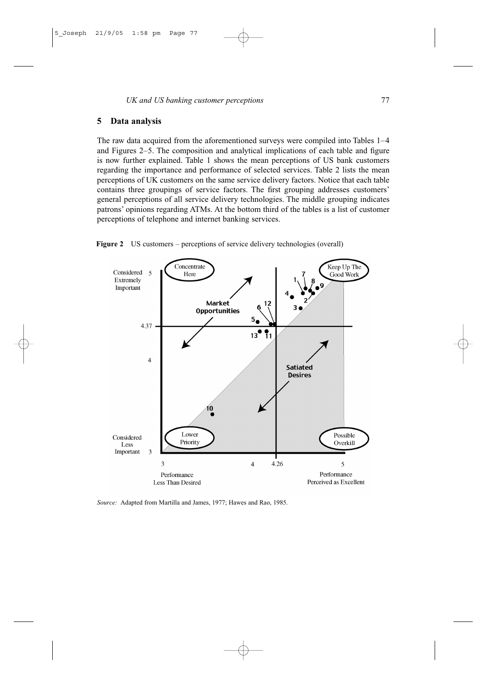### **5 Data analysis**

The raw data acquired from the aforementioned surveys were compiled into Tables 1–4 and Figures 2–5. The composition and analytical implications of each table and figure is now further explained. Table 1 shows the mean perceptions of US bank customers regarding the importance and performance of selected services. Table 2 lists the mean perceptions of UK customers on the same service delivery factors. Notice that each table contains three groupings of service factors. The first grouping addresses customers' general perceptions of all service delivery technologies. The middle grouping indicates patrons' opinions regarding ATMs. At the bottom third of the tables is a list of customer perceptions of telephone and internet banking services.





*Source:* Adapted from Martilla and James, 1977; Hawes and Rao, 1985.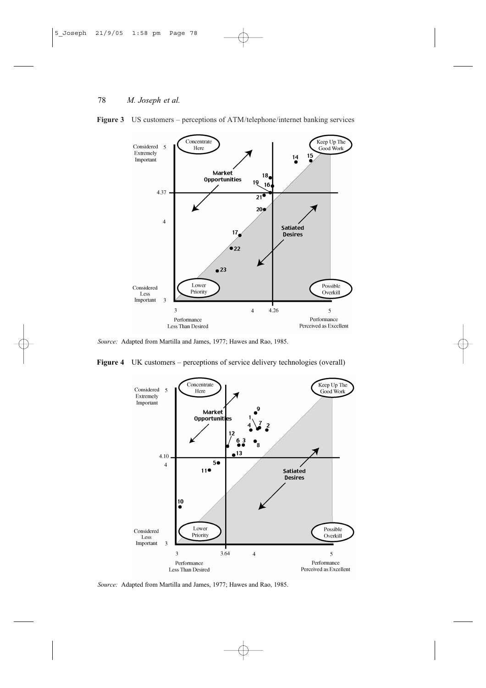

**Figure 3** US customers – perceptions of ATM/telephone/internet banking services

*Source:* Adapted from Martilla and James, 1977; Hawes and Rao, 1985.





*Source:* Adapted from Martilla and James, 1977; Hawes and Rao, 1985.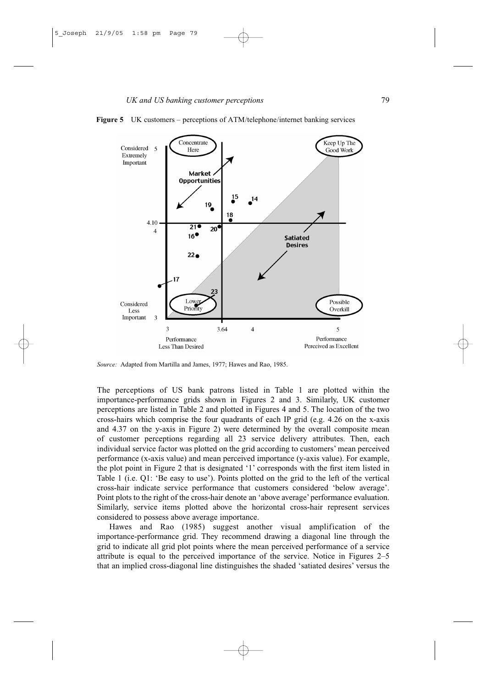

**Figure 5** UK customers – perceptions of ATM/telephone/internet banking services

*Source:* Adapted from Martilla and James, 1977; Hawes and Rao, 1985.

The perceptions of US bank patrons listed in Table 1 are plotted within the importance-performance grids shown in Figures 2 and 3. Similarly, UK customer perceptions are listed in Table 2 and plotted in Figures 4 and 5. The location of the two cross-hairs which comprise the four quadrants of each IP grid (e.g. 4.26 on the x-axis and 4.37 on the y-axis in Figure 2) were determined by the overall composite mean of customer perceptions regarding all 23 service delivery attributes. Then, each individual service factor was plotted on the grid according to customers' mean perceived performance (x-axis value) and mean perceived importance (y-axis value). For example, the plot point in Figure 2 that is designated '1' corresponds with the first item listed in Table 1 (i.e. Q1: 'Be easy to use'). Points plotted on the grid to the left of the vertical cross-hair indicate service performance that customers considered 'below average'. Point plots to the right of the cross-hair denote an 'above average' performance evaluation. Similarly, service items plotted above the horizontal cross-hair represent services considered to possess above average importance.

Hawes and Rao (1985) suggest another visual amplification of the importance-performance grid. They recommend drawing a diagonal line through the grid to indicate all grid plot points where the mean perceived performance of a service attribute is equal to the perceived importance of the service. Notice in Figures 2–5 that an implied cross-diagonal line distinguishes the shaded 'satiated desires' versus the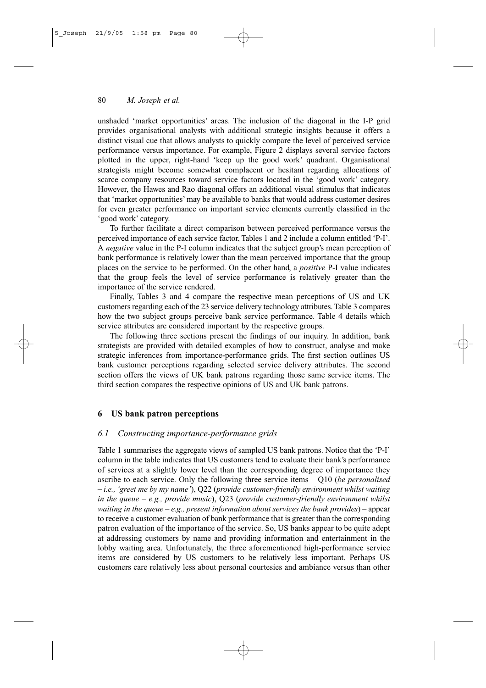unshaded 'market opportunities' areas. The inclusion of the diagonal in the I-P grid provides organisational analysts with additional strategic insights because it offers a distinct visual cue that allows analysts to quickly compare the level of perceived service performance versus importance. For example, Figure 2 displays several service factors plotted in the upper, right-hand 'keep up the good work' quadrant. Organisational strategists might become somewhat complacent or hesitant regarding allocations of scarce company resources toward service factors located in the 'good work' category. However, the Hawes and Rao diagonal offers an additional visual stimulus that indicates that 'market opportunities' may be available to banks that would address customer desires for even greater performance on important service elements currently classified in the 'good work' category.

To further facilitate a direct comparison between perceived performance versus the perceived importance of each service factor, Tables 1 and 2 include a column entitled 'P-I'. A *negative* value in the P-I column indicates that the subject group's mean perception of bank performance is relatively lower than the mean perceived importance that the group places on the service to be performed. On the other hand, a *positive* P-I value indicates that the group feels the level of service performance is relatively greater than the importance of the service rendered.

Finally, Tables 3 and 4 compare the respective mean perceptions of US and UK customers regarding each of the 23 service delivery technology attributes. Table 3 compares how the two subject groups perceive bank service performance. Table 4 details which service attributes are considered important by the respective groups.

The following three sections present the findings of our inquiry. In addition, bank strategists are provided with detailed examples of how to construct, analyse and make strategic inferences from importance-performance grids. The first section outlines US bank customer perceptions regarding selected service delivery attributes. The second section offers the views of UK bank patrons regarding those same service items. The third section compares the respective opinions of US and UK bank patrons.

### **6 US bank patron perceptions**

### *6.1 Constructing importance-performance grids*

Table 1 summarises the aggregate views of sampled US bank patrons. Notice that the 'P-I' column in the table indicates that US customers tend to evaluate their bank's performance of services at a slightly lower level than the corresponding degree of importance they ascribe to each service. Only the following three service items – Q10 (*be personalised – i.e., 'greet me by my name'*), Q22 (*provide customer-friendly environment whilst waiting in the queue – e.g., provide music*), Q23 (*provide customer-friendly environment whilst waiting in the queue – e.g., present information about services the bank provides*) – appear to receive a customer evaluation of bank performance that is greater than the corresponding patron evaluation of the importance of the service. So, US banks appear to be quite adept at addressing customers by name and providing information and entertainment in the lobby waiting area. Unfortunately, the three aforementioned high-performance service items are considered by US customers to be relatively less important. Perhaps US customers care relatively less about personal courtesies and ambiance versus than other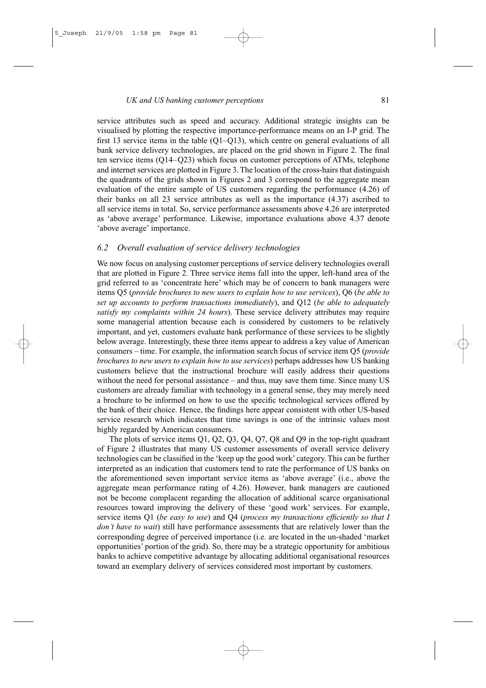service attributes such as speed and accuracy. Additional strategic insights can be visualised by plotting the respective importance-performance means on an I-P grid. The first 13 service items in the table  $(Q1-Q13)$ , which centre on general evaluations of all bank service delivery technologies, are placed on the grid shown in Figure 2. The final ten service items (Q14–Q23) which focus on customer perceptions of ATMs, telephone and internet services are plotted in Figure 3. The location of the cross-hairs that distinguish the quadrants of the grids shown in Figures 2 and 3 correspond to the aggregate mean evaluation of the entire sample of US customers regarding the performance (4.26) of their banks on all 23 service attributes as well as the importance (4.37) ascribed to all service items in total. So, service performance assessments above 4.26 are interpreted as 'above average' performance. Likewise, importance evaluations above 4.37 denote 'above average' importance.

### *6.2 Overall evaluation of service delivery technologies*

We now focus on analysing customer perceptions of service delivery technologies overall that are plotted in Figure 2. Three service items fall into the upper, left-hand area of the grid referred to as 'concentrate here' which may be of concern to bank managers were items Q5 (*provide brochures to new users to explain how to use services*), Q6 (*be able to set up accounts to perform transactions immediately*), and Q12 (*be able to adequately satisfy my complaints within 24 hours*). These service delivery attributes may require some managerial attention because each is considered by customers to be relatively important, and yet, customers evaluate bank performance of these services to be slightly below average. Interestingly, these three items appear to address a key value of American consumers – time. For example, the information search focus of service item Q5 (*provide brochures to new users to explain how to use services*) perhaps addresses how US banking customers believe that the instructional brochure will easily address their questions without the need for personal assistance – and thus, may save them time. Since many US customers are already familiar with technology in a general sense, they may merely need a brochure to be informed on how to use the specific technological services offered by the bank of their choice. Hence, the findings here appear consistent with other US-based service research which indicates that time savings is one of the intrinsic values most highly regarded by American consumers.

The plots of service items Q1, Q2, Q3, Q4, Q7, Q8 and Q9 in the top-right quadrant of Figure 2 illustrates that many US customer assessments of overall service delivery technologies can be classified in the 'keep up the good work' category. This can be further interpreted as an indication that customers tend to rate the performance of US banks on the aforementioned seven important service items as 'above average' (i.e., above the aggregate mean performance rating of 4.26). However, bank managers are cautioned not be become complacent regarding the allocation of additional scarce organisational resources toward improving the delivery of these 'good work' services. For example, service items Q1 (*be easy to use*) and Q4 (*process my transactions efficiently so that I don't have to wait*) still have performance assessments that are relatively lower than the corresponding degree of perceived importance (i.e. are located in the un-shaded 'market opportunities' portion of the grid). So, there may be a strategic opportunity for ambitious banks to achieve competitive advantage by allocating additional organisational resources toward an exemplary delivery of services considered most important by customers.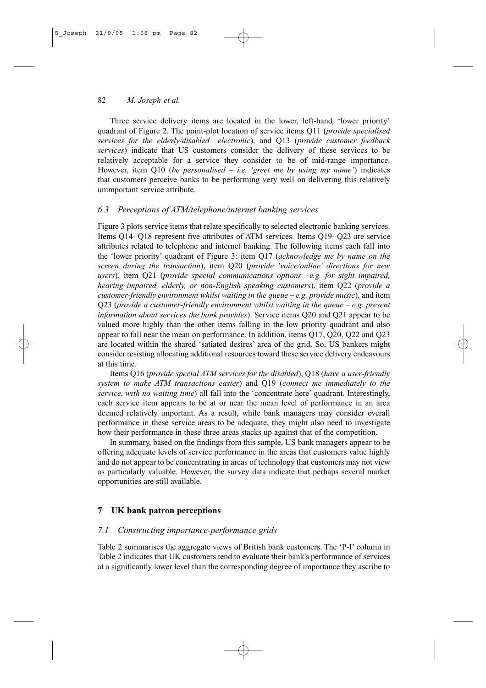Three service delivery items are located in the lower, left-hand, 'lower priority' quadrant of Figure 2. The point-plot location of service items Q11 (*provide specialised services for the elderly/disabled – electronic*), and Q13 (*provide customer feedback services*) indicate that US customers consider the delivery of these services to be relatively acceptable for a service they consider to be of mid-range importance. However, item Q10 (*be personalised – i.e. 'greet me by using my name'*) indicates that customers perceive banks to be performing very well on delivering this relatively unimportant service attribute.

### *6.3 Perceptions of ATM/telephone/internet banking services*

Figure 3 plots service items that relate specifically to selected electronic banking services. Items Q14–Q18 represent five attributes of ATM services. Items Q19–Q23 are service attributes related to telephone and internet banking. The following items each fall into the 'lower priority' quadrant of Figure 3: item Q17 (*acknowledge me by name on the screen during the transaction*), item Q20 (*provide 'voice/online' directions for new users*), item Q21 (*provide special communications options – e.g. for sight impaired, hearing impaired, elderly, or non-English speaking customers*), item Q22 (*provide a customer-friendly environment whilst waiting in the queue – e.g. provide music*), and item Q23 (*provide a customer-friendly environment whilst waiting in the queue – e.g. present information about services the bank provides*). Service items Q20 and Q21 appear to be valued more highly than the other items falling in the low priority quadrant and also appear to fall near the mean on performance. In addition, items Q17, Q20, Q22 and Q23 are located within the shared 'satiated desires' area of the grid. So, US bankers might consider resisting allocating additional resources toward these service delivery endeavours at this time.

Items Q16 (*provide special ATM services for the disabled*), Q18 (*have a user-friendly system to make ATM transactions easier*) and Q19 (*connect me immediately to the service, with no waiting time*) all fall into the 'concentrate here' quadrant. Interestingly, each service item appears to be at or near the mean level of performance in an area deemed relatively important. As a result, while bank managers may consider overall performance in these service areas to be adequate, they might also need to investigate how their performance in these three areas stacks up against that of the competition.

In summary, based on the findings from this sample, US bank managers appear to be offering adequate levels of service performance in the areas that customers value highly and do not appear to be concentrating in areas of technology that customers may not view as particularly valuable. However, the survey data indicate that perhaps several market opportunities are still available.

### **7 UK bank patron perceptions**

### *7.1 Constructing importance-performance grids*

Table 2 summarises the aggregate views of British bank customers. The 'P-I' column in Table 2 indicates that UK customers tend to evaluate their bank's performance of services at a significantly lower level than the corresponding degree of importance they ascribe to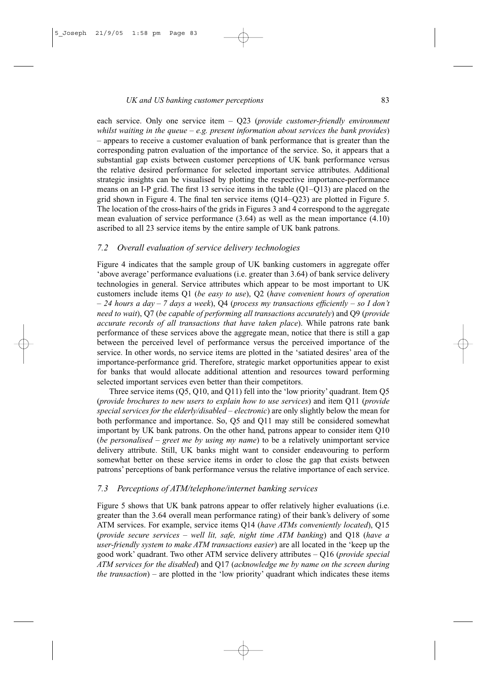each service. Only one service item – Q23 (*provide customer-friendly environment whilst waiting in the queue – e.g. present information about services the bank provides*) – appears to receive a customer evaluation of bank performance that is greater than the corresponding patron evaluation of the importance of the service. So, it appears that a substantial gap exists between customer perceptions of UK bank performance versus the relative desired performance for selected important service attributes. Additional strategic insights can be visualised by plotting the respective importance-performance means on an I-P grid. The first 13 service items in the table  $(Q1-Q13)$  are placed on the grid shown in Figure 4. The final ten service items (Q14–Q23) are plotted in Figure 5. The location of the cross-hairs of the grids in Figures 3 and 4 correspond to the aggregate mean evaluation of service performance (3.64) as well as the mean importance (4.10) ascribed to all 23 service items by the entire sample of UK bank patrons.

### *7.2 Overall evaluation of service delivery technologies*

Figure 4 indicates that the sample group of UK banking customers in aggregate offer 'above average' performance evaluations (i.e. greater than 3.64) of bank service delivery technologies in general. Service attributes which appear to be most important to UK customers include items Q1 (*be easy to use*), Q2 (*have convenient hours of operation – 24 hours a day – 7 days a week*), Q4 (*process my transactions efficiently – so I don't need to wait*), Q7 (*be capable of performing all transactions accurately*) and Q9 (*provide accurate records of all transactions that have taken place*). While patrons rate bank performance of these services above the aggregate mean, notice that there is still a gap between the perceived level of performance versus the perceived importance of the service. In other words, no service items are plotted in the 'satiated desires' area of the importance-performance grid. Therefore, strategic market opportunities appear to exist for banks that would allocate additional attention and resources toward performing selected important services even better than their competitors.

Three service items (Q5, Q10, and Q11) fell into the 'low priority' quadrant. Item Q5 (*provide brochures to new users to explain how to use services*) and item Q11 (*provide special services for the elderly/disabled – electronic*) are only slightly below the mean for both performance and importance. So, Q5 and Q11 may still be considered somewhat important by UK bank patrons. On the other hand, patrons appear to consider item Q10 (*be personalised – greet me by using my name*) to be a relatively unimportant service delivery attribute. Still, UK banks might want to consider endeavouring to perform somewhat better on these service items in order to close the gap that exists between patrons' perceptions of bank performance versus the relative importance of each service.

### *7.3 Perceptions of ATM/telephone/internet banking services*

Figure 5 shows that UK bank patrons appear to offer relatively higher evaluations (i.e. greater than the 3.64 overall mean performance rating) of their bank's delivery of some ATM services. For example, service items Q14 (*have ATMs conveniently located*), Q15 (*provide secure services – well lit, safe, night time ATM banking*) and Q18 (*have a user-friendly system to make ATM transactions easier*) are all located in the 'keep up the good work' quadrant. Two other ATM service delivery attributes – Q16 (*provide special ATM services for the disabled*) and Q17 (*acknowledge me by name on the screen during the transaction*) – are plotted in the 'low priority' quadrant which indicates these items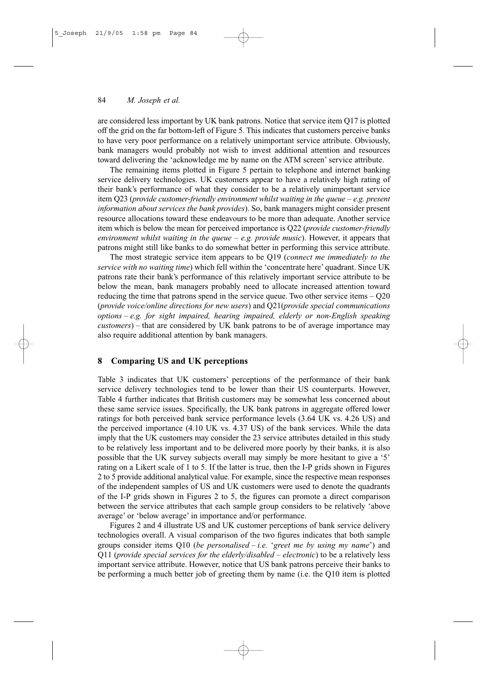are considered less important by UK bank patrons. Notice that service item Q17 is plotted off the grid on the far bottom-left of Figure 5. This indicates that customers perceive banks to have very poor performance on a relatively unimportant service attribute. Obviously, bank managers would probably not wish to invest additional attention and resources toward delivering the 'acknowledge me by name on the ATM screen' service attribute.

The remaining items plotted in Figure 5 pertain to telephone and internet banking service delivery technologies. UK customers appear to have a relatively high rating of their bank's performance of what they consider to be a relatively unimportant service item Q23 (*provide customer-friendly environment whilst waiting in the queue – e.g. present information about services the bank provides*). So, bank managers might consider present resource allocations toward these endeavours to be more than adequate. Another service item which is below the mean for perceived importance is Q22 (*provide customer-friendly environment whilst waiting in the queue – e.g. provide music*). However, it appears that patrons might still like banks to do somewhat better in performing this service attribute.

The most strategic service item appears to be Q19 (*connect me immediately to the service with no waiting time*) which fell within the 'concentrate here' quadrant. Since UK patrons rate their bank's performance of this relatively important service attribute to be below the mean, bank managers probably need to allocate increased attention toward reducing the time that patrons spend in the service queue. Two other service items – Q20 (*provide voice/online directions for new users*) and Q21(*provide special communications options – e.g. for sight impaired, hearing impaired, elderly or non-English speaking customers*) – that are considered by UK bank patrons to be of average importance may also require additional attention by bank managers.

### **8 Comparing US and UK perceptions**

Table 3 indicates that UK customers' perceptions of the performance of their bank service delivery technologies tend to be lower than their US counterparts. However, Table 4 further indicates that British customers may be somewhat less concerned about these same service issues. Specifically, the UK bank patrons in aggregate offered lower ratings for both perceived bank service performance levels (3.64 UK vs. 4.26 US) and the perceived importance (4.10 UK vs. 4.37 US) of the bank services. While the data imply that the UK customers may consider the 23 service attributes detailed in this study to be relatively less important and to be delivered more poorly by their banks, it is also possible that the UK survey subjects overall may simply be more hesitant to give a '5' rating on a Likert scale of 1 to 5. If the latter is true, then the I-P grids shown in Figures 2 to 5 provide additional analytical value. For example, since the respective mean responses of the independent samples of US and UK customers were used to denote the quadrants of the I-P grids shown in Figures 2 to 5, the figures can promote a direct comparison between the service attributes that each sample group considers to be relatively 'above average' or 'below average' in importance and/or performance.

Figures 2 and 4 illustrate US and UK customer perceptions of bank service delivery technologies overall. A visual comparison of the two figures indicates that both sample groups consider items Q10 (*be personalised – i.e.* '*greet me by using my name*') and Q11 (*provide special services for the elderly/disabled – electronic*) to be a relatively less important service attribute. However, notice that US bank patrons perceive their banks to be performing a much better job of greeting them by name (i.e. the Q10 item is plotted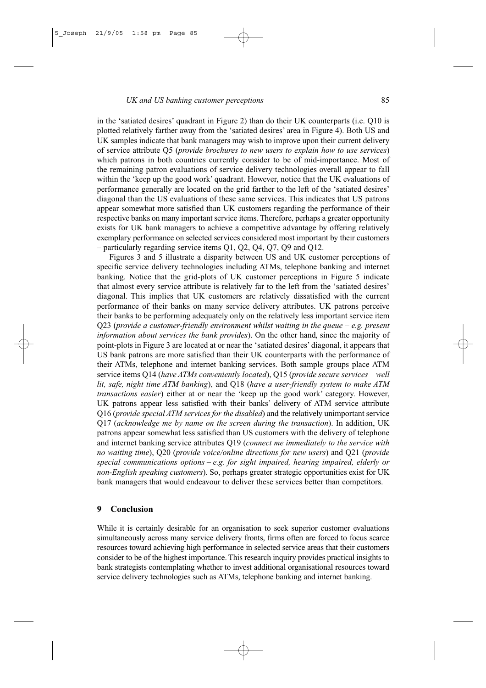in the 'satiated desires' quadrant in Figure 2) than do their UK counterparts (i.e. Q10 is plotted relatively farther away from the 'satiated desires' area in Figure 4). Both US and UK samples indicate that bank managers may wish to improve upon their current delivery of service attribute Q5 (*provide brochures to new users to explain how to use services*) which patrons in both countries currently consider to be of mid-importance. Most of the remaining patron evaluations of service delivery technologies overall appear to fall within the 'keep up the good work' quadrant. However, notice that the UK evaluations of performance generally are located on the grid farther to the left of the 'satiated desires' diagonal than the US evaluations of these same services. This indicates that US patrons appear somewhat more satisfied than UK customers regarding the performance of their respective banks on many important service items. Therefore, perhaps a greater opportunity exists for UK bank managers to achieve a competitive advantage by offering relatively exemplary performance on selected services considered most important by their customers – particularly regarding service items Q1, Q2, Q4, Q7, Q9 and Q12.

Figures 3 and 5 illustrate a disparity between US and UK customer perceptions of specific service delivery technologies including ATMs, telephone banking and internet banking. Notice that the grid-plots of UK customer perceptions in Figure 5 indicate that almost every service attribute is relatively far to the left from the 'satiated desires' diagonal. This implies that UK customers are relatively dissatisfied with the current performance of their banks on many service delivery attributes. UK patrons perceive their banks to be performing adequately only on the relatively less important service item Q23 (*provide a customer-friendly environment whilst waiting in the queue – e.g. present information about services the bank provides*). On the other hand, since the majority of point-plots in Figure 3 are located at or near the 'satiated desires' diagonal, it appears that US bank patrons are more satisfied than their UK counterparts with the performance of their ATMs, telephone and internet banking services. Both sample groups place ATM service items Q14 (*have ATMs conveniently located*), Q15 (*provide secure services – well lit, safe, night time ATM banking*), and Q18 (*have a user-friendly system to make ATM transactions easier*) either at or near the 'keep up the good work' category. However, UK patrons appear less satisfied with their banks' delivery of ATM service attribute Q16 (*provide special ATM services for the disabled*) and the relatively unimportant service Q17 (*acknowledge me by name on the screen during the transaction*). In addition, UK patrons appear somewhat less satisfied than US customers with the delivery of telephone and internet banking service attributes Q19 (*connect me immediately to the service with no waiting time*), Q20 (*provide voice/online directions for new users*) and Q21 (*provide special communications options – e.g. for sight impaired, hearing impaired, elderly or non-English speaking customers*). So, perhaps greater strategic opportunities exist for UK bank managers that would endeavour to deliver these services better than competitors.

#### **9 Conclusion**

While it is certainly desirable for an organisation to seek superior customer evaluations simultaneously across many service delivery fronts, firms often are forced to focus scarce resources toward achieving high performance in selected service areas that their customers consider to be of the highest importance. This research inquiry provides practical insights to bank strategists contemplating whether to invest additional organisational resources toward service delivery technologies such as ATMs, telephone banking and internet banking.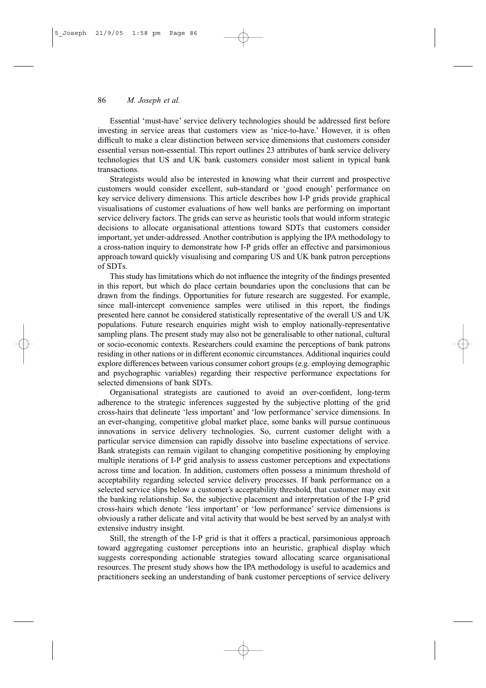Essential 'must-have' service delivery technologies should be addressed first before investing in service areas that customers view as 'nice-to-have.' However, it is often difficult to make a clear distinction between service dimensions that customers consider essential versus non-essential. This report outlines 23 attributes of bank service delivery technologies that US and UK bank customers consider most salient in typical bank transactions.

Strategists would also be interested in knowing what their current and prospective customers would consider excellent, sub-standard or 'good enough' performance on key service delivery dimensions. This article describes how I-P grids provide graphical visualisations of customer evaluations of how well banks are performing on important service delivery factors. The grids can serve as heuristic tools that would inform strategic decisions to allocate organisational attentions toward SDTs that customers consider important, yet under-addressed. Another contribution is applying the IPA methodology to a cross-nation inquiry to demonstrate how I-P grids offer an effective and parsimonious approach toward quickly visualising and comparing US and UK bank patron perceptions of SDTs.

This study has limitations which do not influence the integrity of the findings presented in this report, but which do place certain boundaries upon the conclusions that can be drawn from the findings. Opportunities for future research are suggested. For example, since mall-intercept convenience samples were utilised in this report, the findings presented here cannot be considered statistically representative of the overall US and UK populations. Future research enquiries might wish to employ nationally-representative sampling plans. The present study may also not be generalisable to other national, cultural or socio-economic contexts. Researchers could examine the perceptions of bank patrons residing in other nations or in different economic circumstances. Additional inquiries could explore differences between various consumer cohort groups (e.g. employing demographic and psychographic variables) regarding their respective performance expectations for selected dimensions of bank SDTs.

Organisational strategists are cautioned to avoid an over-confident, long-term adherence to the strategic inferences suggested by the subjective plotting of the grid cross-hairs that delineate 'less important' and 'low performance' service dimensions. In an ever-changing, competitive global market place, some banks will pursue continuous innovations in service delivery technologies. So, current customer delight with a particular service dimension can rapidly dissolve into baseline expectations of service. Bank strategists can remain vigilant to changing competitive positioning by employing multiple iterations of I-P grid analysis to assess customer perceptions and expectations across time and location. In addition, customers often possess a minimum threshold of acceptability regarding selected service delivery processes. If bank performance on a selected service slips below a customer's acceptability threshold, that customer may exit the banking relationship. So, the subjective placement and interpretation of the I-P grid cross-hairs which denote 'less important' or 'low performance' service dimensions is obviously a rather delicate and vital activity that would be best served by an analyst with extensive industry insight.

Still, the strength of the I-P grid is that it offers a practical, parsimonious approach toward aggregating customer perceptions into an heuristic, graphical display which suggests corresponding actionable strategies toward allocating scarce organisational resources. The present study shows how the IPA methodology is useful to academics and practitioners seeking an understanding of bank customer perceptions of service delivery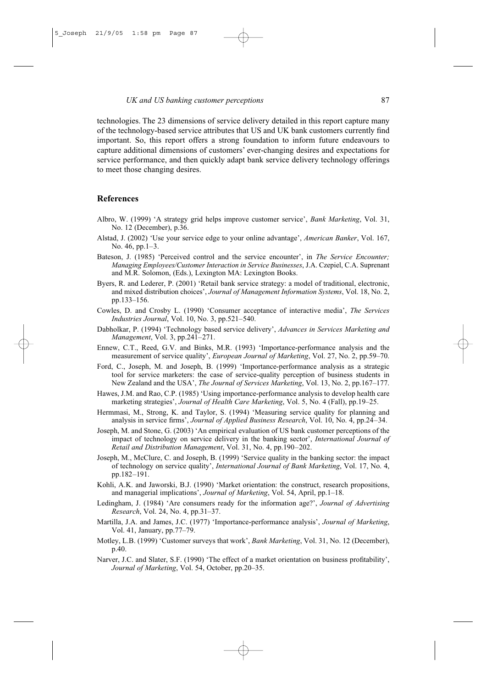technologies. The 23 dimensions of service delivery detailed in this report capture many of the technology-based service attributes that US and UK bank customers currently find important. So, this report offers a strong foundation to inform future endeavours to capture additional dimensions of customers' ever-changing desires and expectations for service performance, and then quickly adapt bank service delivery technology offerings to meet those changing desires.

#### **References**

- Albro, W. (1999) 'A strategy grid helps improve customer service', *Bank Marketing*, Vol. 31, No. 12 (December), p.36.
- Alstad, J. (2002) 'Use your service edge to your online advantage', *American Banker*, Vol. 167, No. 46, pp.1–3.
- Bateson, J. (1985) 'Perceived control and the service encounter', in *The Service Encounter; Managing Employees/Customer Interaction in Service Businesses*, J.A. Czepiel, C.A. Suprenant and M.R. Solomon, (Eds.), Lexington MA: Lexington Books.
- Byers, R. and Lederer, P. (2001) 'Retail bank service strategy: a model of traditional, electronic, and mixed distribution choices', *Journal of Management Information Systems*, Vol. 18, No. 2, pp.133–156.
- Cowles, D. and Crosby L. (1990) 'Consumer acceptance of interactive media', *The Services Industries Journal*, Vol. 10, No. 3, pp.521–540.
- Dabholkar, P. (1994) 'Technology based service delivery', *Advances in Services Marketing and Management*, Vol. 3, pp.241–271.
- Ennew, C.T., Reed, G.V. and Binks, M.R. (1993) 'Importance-performance analysis and the measurement of service quality', *European Journal of Marketing*, Vol. 27, No. 2, pp.59–70.
- Ford, C., Joseph, M. and Joseph, B. (1999) 'Importance-performance analysis as a strategic tool for service marketers: the case of service-quality perception of business students in New Zealand and the USA', *The Journal of Services Marketing*, Vol. 13, No. 2, pp.167–177.
- Hawes, J.M. and Rao, C.P. (1985) 'Using importance-performance analysis to develop health care marketing strategies', *Journal of Health Care Marketing*, Vol. 5, No. 4 (Fall), pp.19–25.
- Hermmasi, M., Strong, K. and Taylor, S. (1994) 'Measuring service quality for planning and analysis in service firms', *Journal of Applied Business Research*, Vol. 10, No. 4, pp.24–34.
- Joseph, M. and Stone, G. (2003) 'An empirical evaluation of US bank customer perceptions of the impact of technology on service delivery in the banking sector', *International Journal of Retail and Distribution Management*, Vol. 31, No. 4, pp.190–202.
- Joseph, M., McClure, C. and Joseph, B. (1999) 'Service quality in the banking sector: the impact of technology on service quality', *International Journal of Bank Marketing*, Vol. 17, No. 4, pp.182–191.
- Kohli, A.K. and Jaworski, B.J. (1990) 'Market orientation: the construct, research propositions, and managerial implications', *Journal of Marketing*, Vol. 54, April, pp.1–18.
- Ledingham, J. (1984) 'Are consumers ready for the information age?', *Journal of Advertising Research*, Vol. 24, No. 4, pp.31–37.
- Martilla, J.A. and James, J.C. (1977) 'Importance-performance analysis', *Journal of Marketing*, Vol. 41, January, pp.77–79.
- Motley, L.B. (1999) 'Customer surveys that work', *Bank Marketing*, Vol. 31, No. 12 (December), p.40.
- Narver, J.C. and Slater, S.F. (1990) 'The effect of a market orientation on business profitability', *Journal of Marketing*, Vol. 54, October, pp.20–35.